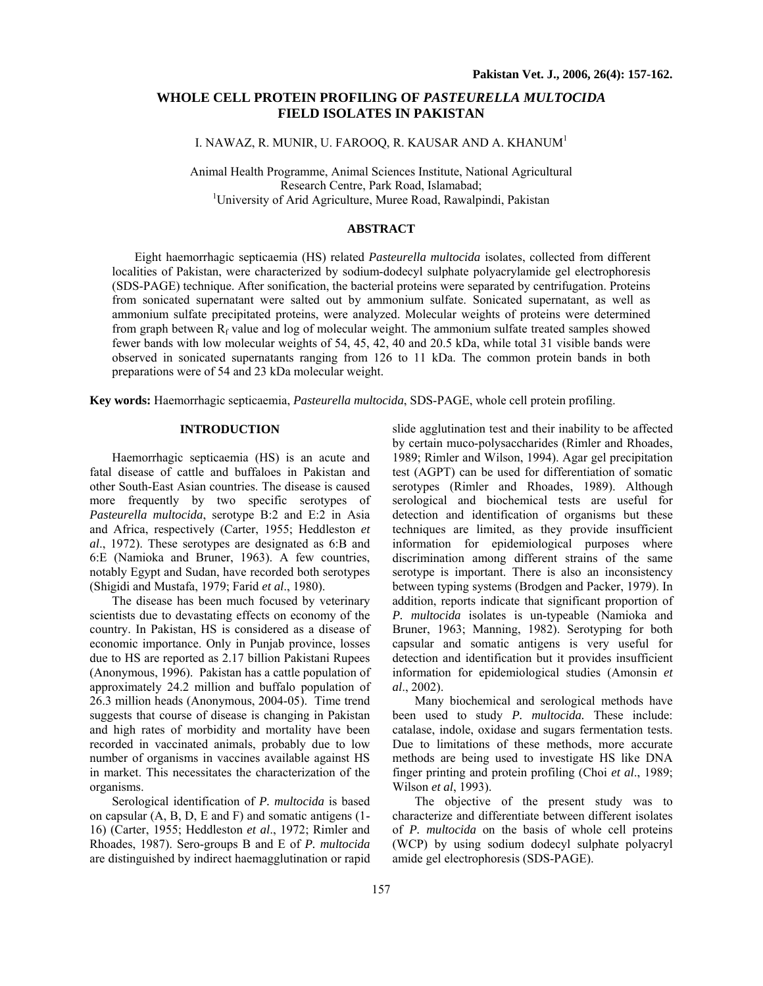# **WHOLE CELL PROTEIN PROFILING OF** *PASTEURELLA MULTOCIDA* **FIELD ISOLATES IN PAKISTAN**

I. NAWAZ, R. MUNIR, U. FAROOQ, R. KAUSAR AND A. KHANUM $^{\rm l}$ 

Animal Health Programme, Animal Sciences Institute, National Agricultural Research Centre, Park Road, Islamabad; 1 University of Arid Agriculture, Muree Road, Rawalpindi, Pakistan

## **ABSTRACT**

Eight haemorrhagic septicaemia (HS) related *Pasteurella multocida* isolates, collected from different localities of Pakistan, were characterized by sodium-dodecyl sulphate polyacrylamide gel electrophoresis (SDS-PAGE) technique. After sonification, the bacterial proteins were separated by centrifugation. Proteins from sonicated supernatant were salted out by ammonium sulfate. Sonicated supernatant, as well as ammonium sulfate precipitated proteins, were analyzed. Molecular weights of proteins were determined from graph between  $R_f$  value and log of molecular weight. The ammonium sulfate treated samples showed fewer bands with low molecular weights of 54, 45, 42, 40 and 20.5 kDa, while total 31 visible bands were observed in sonicated supernatants ranging from 126 to 11 kDa. The common protein bands in both preparations were of 54 and 23 kDa molecular weight.

**Key words:** Haemorrhagic septicaemia, *Pasteurella multocida*, SDS-PAGE, whole cell protein profiling.

## **INTRODUCTION**

Haemorrhagic septicaemia (HS) is an acute and fatal disease of cattle and buffaloes in Pakistan and other South-East Asian countries. The disease is caused more frequently by two specific serotypes of *Pasteurella multocida*, serotype B:2 and E:2 in Asia and Africa, respectively (Carter, 1955; Heddleston *et al*., 1972). These serotypes are designated as 6:B and 6:E (Namioka and Bruner, 1963). A few countries, notably Egypt and Sudan, have recorded both serotypes (Shigidi and Mustafa, 1979; Farid *et al*., 1980).

The disease has been much focused by veterinary scientists due to devastating effects on economy of the country. In Pakistan, HS is considered as a disease of economic importance. Only in Punjab province, losses due to HS are reported as 2.17 billion Pakistani Rupees (Anonymous, 1996). Pakistan has a cattle population of approximately 24.2 million and buffalo population of 26.3 million heads (Anonymous, 2004-05). Time trend suggests that course of disease is changing in Pakistan and high rates of morbidity and mortality have been recorded in vaccinated animals, probably due to low number of organisms in vaccines available against HS in market. This necessitates the characterization of the organisms.

Serological identification of *P. multocida* is based on capsular (A, B, D, E and F) and somatic antigens (1- 16) (Carter, 1955; Heddleston *et al*., 1972; Rimler and Rhoades, 1987). Sero-groups B and E of *P. multocida* are distinguished by indirect haemagglutination or rapid slide agglutination test and their inability to be affected by certain muco-polysaccharides (Rimler and Rhoades, 1989; Rimler and Wilson, 1994). Agar gel precipitation test (AGPT) can be used for differentiation of somatic serotypes (Rimler and Rhoades, 1989). Although serological and biochemical tests are useful for detection and identification of organisms but these techniques are limited, as they provide insufficient information for epidemiological purposes where discrimination among different strains of the same serotype is important. There is also an inconsistency between typing systems (Brodgen and Packer, 1979). In addition, reports indicate that significant proportion of *P. multocida* isolates is un-typeable (Namioka and Bruner, 1963; Manning, 1982). Serotyping for both capsular and somatic antigens is very useful for detection and identification but it provides insufficient information for epidemiological studies (Amonsin *et al*., 2002).

Many biochemical and serological methods have been used to study *P. multocida.* These include: catalase, indole, oxidase and sugars fermentation tests. Due to limitations of these methods, more accurate methods are being used to investigate HS like DNA finger printing and protein profiling (Choi *et al*., 1989; Wilson *et al*, 1993).

The objective of the present study was to characterize and differentiate between different isolates of *P. multocida* on the basis of whole cell proteins (WCP) by using sodium dodecyl sulphate polyacryl amide gel electrophoresis (SDS-PAGE).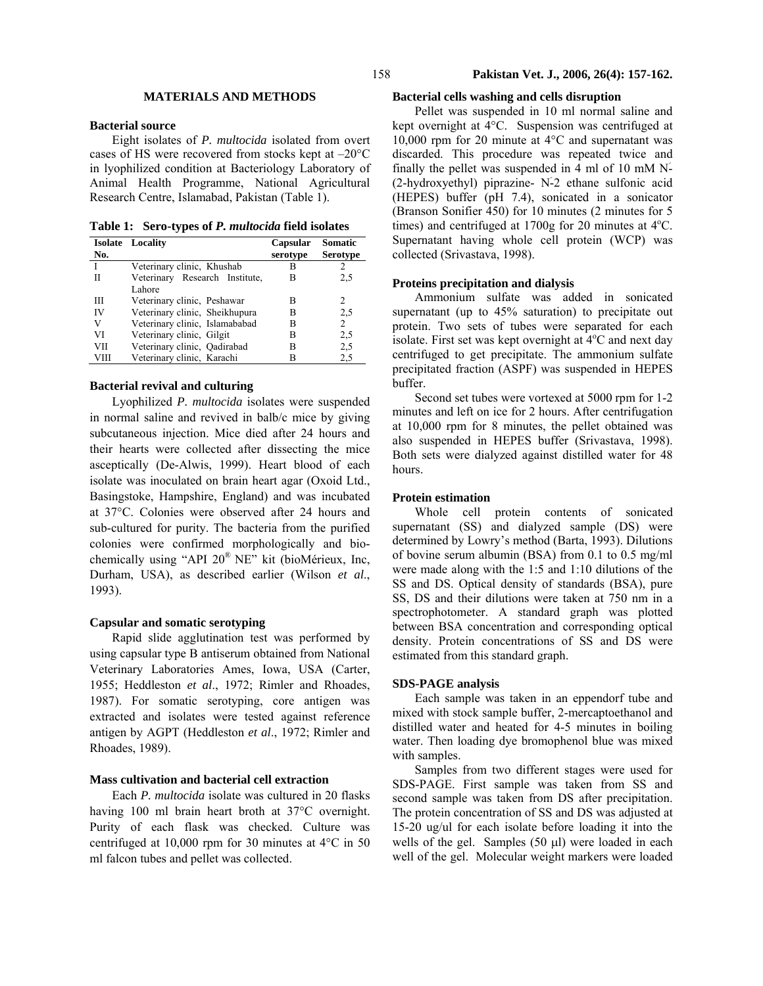# **MATERIALS AND METHODS**

## **Bacterial source**

Eight isolates of *P. multocida* isolated from overt cases of HS were recovered from stocks kept at –20°C in lyophilized condition at Bacteriology Laboratory of Animal Health Programme, National Agricultural Research Centre, Islamabad, Pakistan (Table 1).

**Table 1: Sero-types of** *P. multocida* **field isolates** 

|      | <b>Isolate</b> Locality        | Capsular | <b>Somatic</b>  |
|------|--------------------------------|----------|-----------------|
| No.  |                                | serotype | <b>Serotype</b> |
|      | Veterinary clinic, Khushab     | в        |                 |
| Н    | Veterinary Research Institute, | В        | 2,5             |
|      | Lahore                         |          |                 |
| Ш    | Veterinary clinic, Peshawar    | в        | 2               |
| IV   | Veterinary clinic, Sheikhupura | в        | 2,5             |
| V    | Veterinary clinic, Islamababad | в        | $\overline{2}$  |
| VI   | Veterinary clinic, Gilgit      | в        | 2,5             |
| VII  | Veterinary clinic, Qadirabad   | В        | 2,5             |
| VIII | Veterinary clinic, Karachi     |          | 2,5             |

## **Bacterial revival and culturing**

Lyophilized *P. multocida* isolates were suspended in normal saline and revived in balb/c mice by giving subcutaneous injection. Mice died after 24 hours and their hearts were collected after dissecting the mice asceptically (De-Alwis, 1999). Heart blood of each isolate was inoculated on brain heart agar (Oxoid Ltd., Basingstoke, Hampshire, England) and was incubated at 37°C. Colonies were observed after 24 hours and sub-cultured for purity. The bacteria from the purified colonies were confirmed morphologically and biochemically using "API 20® NE" kit (bioMérieux, Inc, Durham, USA), as described earlier (Wilson *et al*., 1993).

# **Capsular and somatic serotyping**

Rapid slide agglutination test was performed by using capsular type B antiserum obtained from National Veterinary Laboratories Ames, Iowa, USA (Carter, 1955; Heddleston *et al*., 1972; Rimler and Rhoades, 1987). For somatic serotyping, core antigen was extracted and isolates were tested against reference antigen by AGPT (Heddleston *et al*., 1972; Rimler and Rhoades, 1989).

## **Mass cultivation and bacterial cell extraction**

Each *P. multocida* isolate was cultured in 20 flasks having 100 ml brain heart broth at 37°C overnight. Purity of each flask was checked. Culture was centrifuged at 10,000 rpm for 30 minutes at 4°C in 50 ml falcon tubes and pellet was collected.

## **Bacterial cells washing and cells disruption**

Pellet was suspended in 10 ml normal saline and kept overnight at 4°C. Suspension was centrifuged at 10,000 rpm for 20 minute at 4°C and supernatant was discarded. This procedure was repeated twice and finally the pellet was suspended in 4 ml of 10 mM Nَ- (2-hydroxyethyl) piprazine- Nَ-2 ethane sulfonic acid (HEPES) buffer (pH 7.4), sonicated in a sonicator (Branson Sonifier 450) for 10 minutes (2 minutes for 5 times) and centrifuged at  $1700g$  for 20 minutes at  $4^{\circ}$ C. Supernatant having whole cell protein (WCP) was collected (Srivastava, 1998).

## **Proteins precipitation and dialysis**

Ammonium sulfate was added in sonicated supernatant (up to 45% saturation) to precipitate out protein. Two sets of tubes were separated for each isolate. First set was kept overnight at  $4^{\circ}$ C and next day centrifuged to get precipitate. The ammonium sulfate precipitated fraction (ASPF) was suspended in HEPES buffer.

Second set tubes were vortexed at 5000 rpm for 1-2 minutes and left on ice for 2 hours. After centrifugation at 10,000 rpm for 8 minutes, the pellet obtained was also suspended in HEPES buffer (Srivastava, 1998). Both sets were dialyzed against distilled water for 48 hours.

## **Protein estimation**

Whole cell protein contents of sonicated supernatant (SS) and dialyzed sample (DS) were determined by Lowry's method (Barta, 1993). Dilutions of bovine serum albumin (BSA) from 0.1 to 0.5 mg/ml were made along with the 1:5 and 1:10 dilutions of the SS and DS. Optical density of standards (BSA), pure SS, DS and their dilutions were taken at 750 nm in a spectrophotometer. A standard graph was plotted between BSA concentration and corresponding optical density. Protein concentrations of SS and DS were estimated from this standard graph.

#### **SDS-PAGE analysis**

Each sample was taken in an eppendorf tube and mixed with stock sample buffer, 2-mercaptoethanol and distilled water and heated for 4-5 minutes in boiling water. Then loading dye bromophenol blue was mixed with samples.

Samples from two different stages were used for SDS-PAGE. First sample was taken from SS and second sample was taken from DS after precipitation. The protein concentration of SS and DS was adjusted at 15-20 ug/ul for each isolate before loading it into the wells of the gel. Samples (50 µl) were loaded in each well of the gel. Molecular weight markers were loaded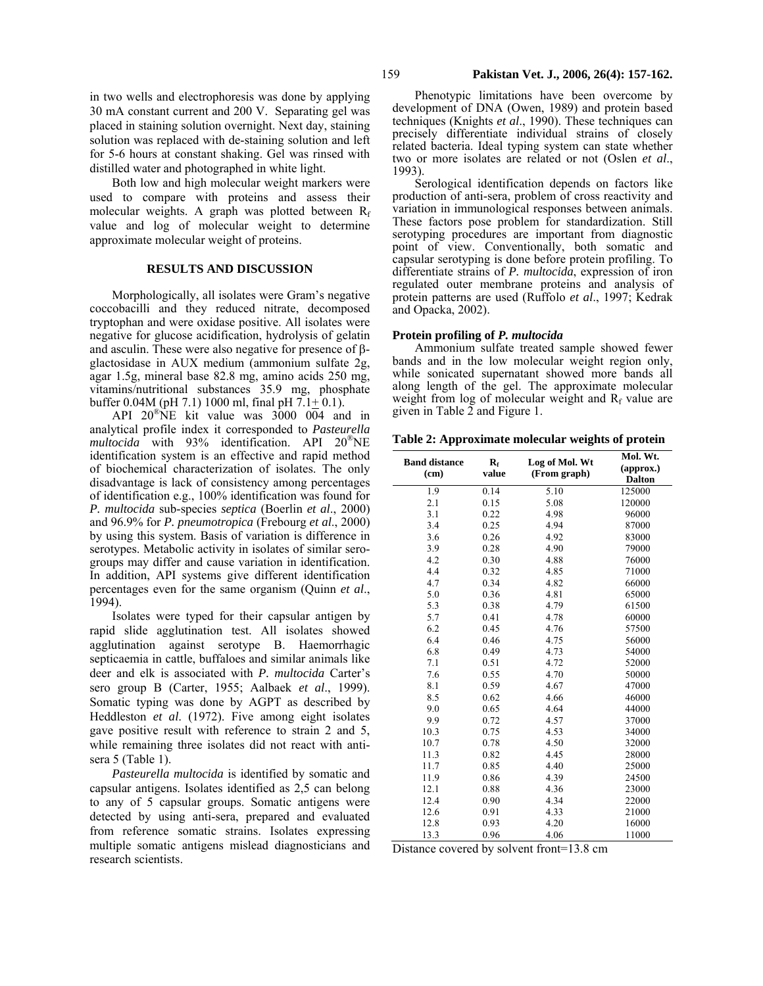in two wells and electrophoresis was done by applying 30 mA constant current and 200 V. Separating gel was placed in staining solution overnight. Next day, staining solution was replaced with de-staining solution and left for 5-6 hours at constant shaking. Gel was rinsed with distilled water and photographed in white light.

Both low and high molecular weight markers were used to compare with proteins and assess their molecular weights. A graph was plotted between  $R_f$ value and log of molecular weight to determine approximate molecular weight of proteins.

### **RESULTS AND DISCUSSION**

Morphologically, all isolates were Gram's negative coccobacilli and they reduced nitrate, decomposed tryptophan and were oxidase positive. All isolates were negative for glucose acidification, hydrolysis of gelatin and asculin. These were also negative for presence of βglactosidase in AUX medium (ammonium sulfate 2g, agar 1.5g, mineral base 82.8 mg, amino acids 250 mg, vitamins/nutritional substances 35.9 mg, phosphate buffer 0.04M (pH 7.1) 1000 ml, final pH  $7.1 + 0.1$ ).

API 20®NE kit value was 3000 004 and in analytical profile index it corresponded to *Pasteurella multocida* with 93% identification. API 20®NE identification system is an effective and rapid method of biochemical characterization of isolates. The only disadvantage is lack of consistency among percentages of identification e.g., 100% identification was found for *P. multocida* sub-species *septica* (Boerlin *et al*., 2000) and 96.9% for *P. pneumotropica* (Frebourg *et al*., 2000) by using this system. Basis of variation is difference in serotypes. Metabolic activity in isolates of similar serogroups may differ and cause variation in identification. In addition, API systems give different identification percentages even for the same organism (Quinn *et al*., 1994).

Isolates were typed for their capsular antigen by rapid slide agglutination test. All isolates showed agglutination against serotype B. Haemorrhagic septicaemia in cattle, buffaloes and similar animals like deer and elk is associated with *P. multocida* Carter's sero group B (Carter, 1955; Aalbaek *et al*., 1999). Somatic typing was done by AGPT as described by Heddleston *et al*. (1972). Five among eight isolates gave positive result with reference to strain 2 and 5, while remaining three isolates did not react with antisera 5 (Table 1).

*Pasteurella multocida* is identified by somatic and capsular antigens. Isolates identified as 2,5 can belong to any of 5 capsular groups. Somatic antigens were detected by using anti-sera, prepared and evaluated from reference somatic strains. Isolates expressing multiple somatic antigens mislead diagnosticians and research scientists.

Phenotypic limitations have been overcome by development of DNA (Owen, 1989) and protein based techniques (Knights *et al*., 1990). These techniques can precisely differentiate individual strains of closely related bacteria. Ideal typing system can state whether two or more isolates are related or not (Oslen *et al*., 1993).

Serological identification depends on factors like production of anti-sera, problem of cross reactivity and variation in immunological responses between animals. These factors pose problem for standardization. Still serotyping procedures are important from diagnostic point of view. Conventionally, both somatic and capsular serotyping is done before protein profiling. To differentiate strains of *P. multocida*, expression of iron regulated outer membrane proteins and analysis of protein patterns are used (Ruffolo *et al*., 1997; Kedrak and Opacka, 2002).

#### **Protein profiling of** *P. multocida*

Ammonium sulfate treated sample showed fewer bands and in the low molecular weight region only, while sonicated supernatant showed more bands all along length of the gel. The approximate molecular weight from log of molecular weight and  $R_f$  value are given in Table 2 and Figure 1.

**Table 2: Approximate molecular weights of protein** 

| <b>Band distance</b><br>(cm) | $\mathbf{R}_{\rm f}$<br>value | Log of Mol. Wt<br>(From graph) | Mol. Wt.<br>(approx.)<br><b>Dalton</b> |
|------------------------------|-------------------------------|--------------------------------|----------------------------------------|
| 1.9                          | 0.14                          | 5.10                           | 125000                                 |
| 2.1                          | 0.15                          | 5.08                           | 120000                                 |
| 3.1                          | 0.22                          | 4.98                           | 96000                                  |
| 3.4                          | 0.25                          | 4.94                           | 87000                                  |
| 3.6                          | 0.26                          | 4.92                           | 83000                                  |
| 3.9                          | 0.28                          | 4.90                           | 79000                                  |
| 4.2                          | 0.30                          | 4.88                           | 76000                                  |
| 4.4                          | 0.32                          | 4.85                           | 71000                                  |
| 4.7                          | 0.34                          | 4.82                           | 66000                                  |
| 5.0                          | 0.36                          | 4.81                           | 65000                                  |
| 5.3                          | 0.38                          | 4.79                           | 61500                                  |
| 5.7                          | 0.41                          | 4.78                           | 60000                                  |
| 6.2                          | 0.45                          | 4.76                           | 57500                                  |
| 6.4                          | 0.46                          | 4.75                           | 56000                                  |
| 6.8                          | 0.49                          | 4.73                           | 54000                                  |
| 7.1                          | 0.51                          | 4.72                           | 52000                                  |
| 7.6                          | 0.55                          | 4.70                           | 50000                                  |
| 8.1                          | 0.59                          | 4.67                           | 47000                                  |
| 8.5                          | 0.62                          | 4.66                           | 46000                                  |
| 9.0                          | 0.65                          | 4.64                           | 44000                                  |
| 9.9                          | 0.72                          | 4.57                           | 37000                                  |
| 10.3                         | 0.75                          | 4.53                           | 34000                                  |
| 10.7                         | 0.78                          | 4.50                           | 32000                                  |
| 11.3                         | 0.82                          | 4.45                           | 28000                                  |
| 11.7                         | 0.85                          | 4.40                           | 25000                                  |
| 11.9                         | 0.86                          | 4.39                           | 24500                                  |
| 12.1                         | 0.88                          | 4.36                           | 23000                                  |
| 12.4                         | 0.90                          | 4.34                           | 22000                                  |
| 12.6                         | 0.91                          | 4.33                           | 21000                                  |
| 12.8                         | 0.93                          | 4.20                           | 16000                                  |
| 13.3                         | 0.96                          | 4.06                           | 11000                                  |

Distance covered by solvent front=13.8 cm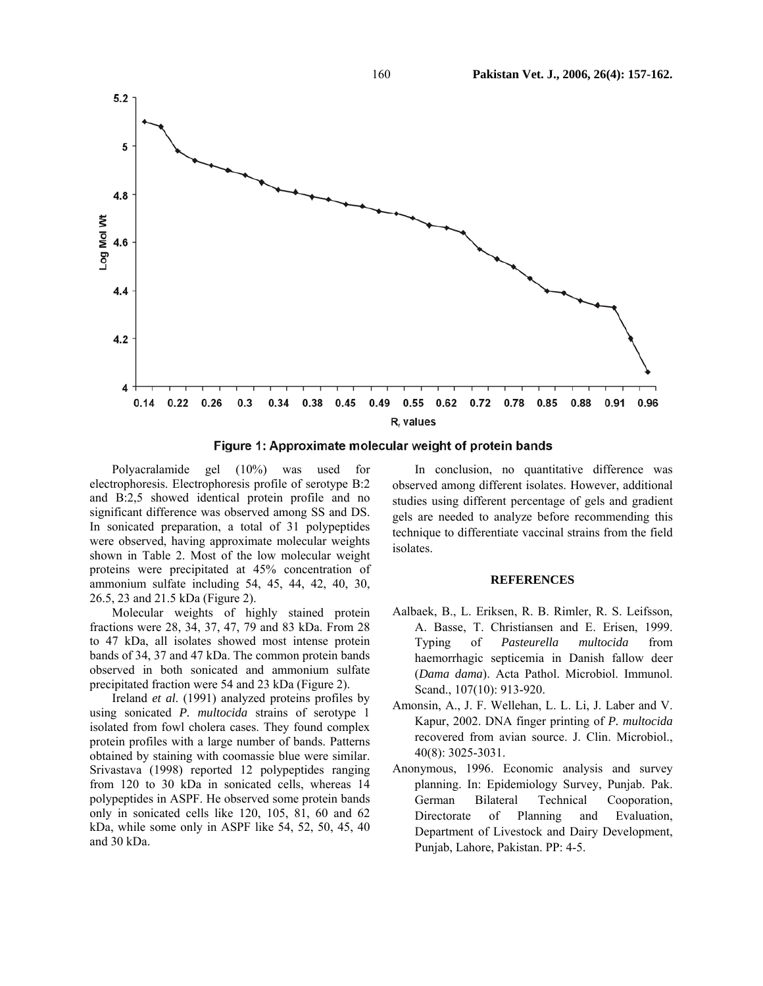

Figure 1: Approximate molecular weight of protein bands

Polyacralamide gel (10%) was used for electrophoresis. Electrophoresis profile of serotype B:2 and B:2,5 showed identical protein profile and no significant difference was observed among SS and DS. In sonicated preparation, a total of 31 polypeptides were observed, having approximate molecular weights shown in Table 2. Most of the low molecular weight proteins were precipitated at 45% concentration of ammonium sulfate including 54, 45, 44, 42, 40, 30, 26.5, 23 and 21.5 kDa (Figure 2).

Molecular weights of highly stained protein fractions were 28, 34, 37, 47, 79 and 83 kDa. From 28 to 47 kDa, all isolates showed most intense protein bands of 34, 37 and 47 kDa. The common protein bands observed in both sonicated and ammonium sulfate precipitated fraction were 54 and 23 kDa (Figure 2).

Ireland *et al*. (1991) analyzed proteins profiles by using sonicated *P. multocida* strains of serotype 1 isolated from fowl cholera cases. They found complex protein profiles with a large number of bands. Patterns obtained by staining with coomassie blue were similar. Srivastava (1998) reported 12 polypeptides ranging from 120 to 30 kDa in sonicated cells, whereas 14 polypeptides in ASPF. He observed some protein bands only in sonicated cells like 120, 105, 81, 60 and 62 kDa, while some only in ASPF like 54, 52, 50, 45, 40 and 30 kDa.

In conclusion, no quantitative difference was observed among different isolates. However, additional studies using different percentage of gels and gradient gels are needed to analyze before recommending this technique to differentiate vaccinal strains from the field isolates.

## **REFERENCES**

- Aalbaek, B., L. Eriksen, R. B. Rimler, R. S. Leifsson, A. Basse, T. Christiansen and E. Erisen, 1999. Typing of *Pasteurella multocida* from haemorrhagic septicemia in Danish fallow deer (*Dama dama*). Acta Pathol. Microbiol. Immunol. Scand., 107(10): 913-920.
- Amonsin, A., J. F. Wellehan, L. L. Li, J. Laber and V. Kapur, 2002. DNA finger printing of *P. multocida* recovered from avian source. J. Clin. Microbiol., 40(8): 3025-3031.
- Anonymous, 1996. Economic analysis and survey planning. In: Epidemiology Survey, Punjab. Pak. German Bilateral Technical Cooporation, Directorate of Planning and Evaluation, Department of Livestock and Dairy Development, Punjab, Lahore, Pakistan. PP: 4-5.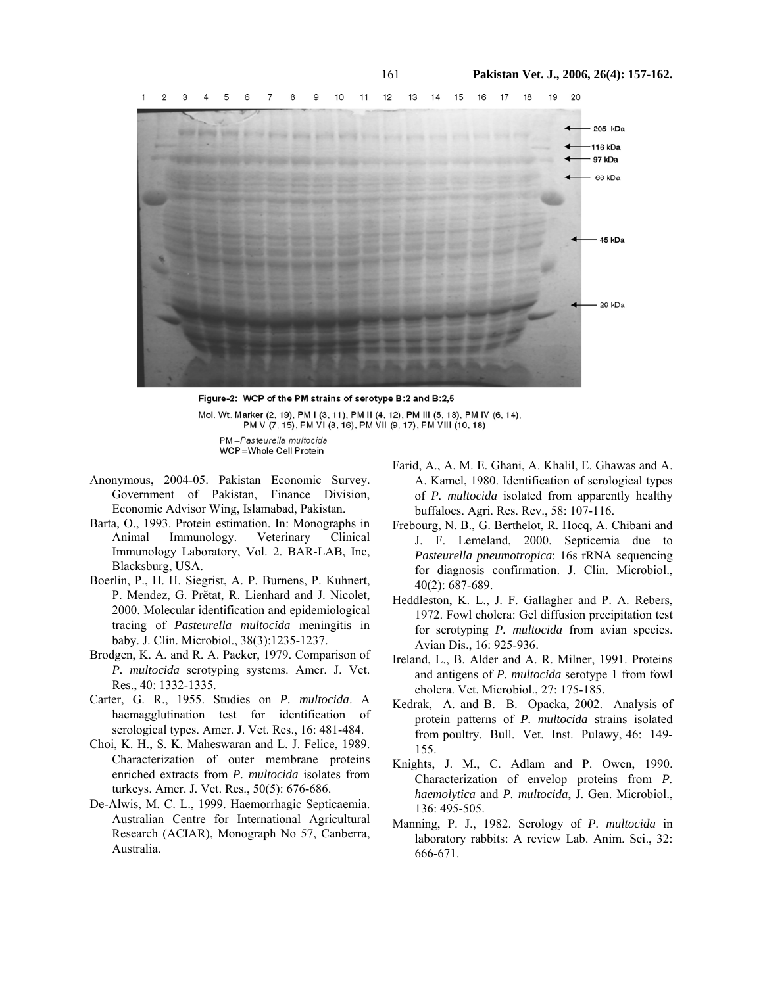

Figure-2: WCP of the PM strains of serotype B:2 and B:2.5 Mol. Wt. Marker (2, 19), PM I (3, 11), PM II (4, 12), PM III (5, 13), PM IV (6, 14), PM V (7, 15), PM VI (8, 16), PM VII (9, 17), PM VIII (10, 18)

PM=Pasteurella multocida WCP=Whole Cell Protein

- Anonymous, 2004-05. Pakistan Economic Survey. Government of Pakistan, Finance Division, Economic Advisor Wing, Islamabad, Pakistan.
- Barta, O., 1993. Protein estimation. In: Monographs in Animal Immunology. Veterinary Clinical Immunology Laboratory, Vol. 2. BAR-LAB, Inc, Blacksburg, USA.
- Boerlin, P., H. H. Siegrist, A. P. Burnens, P. Kuhnert, P. Mendez, G. Prĕtat, R. Lienhard and J. Nicolet, 2000. Molecular identification and epidemiological tracing of *Pasteurella multocida* meningitis in baby. J. Clin. Microbiol., 38(3):1235-1237.
- Brodgen, K. A. and R. A. Packer, 1979. Comparison of *P. multocida* serotyping systems. Amer. J. Vet. Res., 40: 1332-1335.
- Carter, G. R., 1955. Studies on *P. multocida*. A haemagglutination test for identification of serological types. Amer. J. Vet. Res., 16: 481-484.
- Choi, K. H., S. K. Maheswaran and L. J. Felice, 1989. Characterization of outer membrane proteins enriched extracts from *P. multocida* isolates from turkeys. Amer. J. Vet. Res., 50(5): 676-686.
- De-Alwis, M. C. L., 1999. Haemorrhagic Septicaemia. Australian Centre for International Agricultural Research (ACIAR), Monograph No 57, Canberra, Australia.
- Farid, A., A. M. E. Ghani, A. Khalil, E. Ghawas and A. A. Kamel, 1980. Identification of serological types of *P. multocida* isolated from apparently healthy buffaloes. Agri. Res. Rev., 58: 107-116.
- Frebourg, N. B., G. Berthelot, R. Hocq, A. Chibani and J. F. Lemeland, 2000. Septicemia due to *Pasteurella pneumotropica*: 16s rRNA sequencing for diagnosis confirmation. J. Clin. Microbiol., 40(2): 687-689.
- Heddleston, K. L., J. F. Gallagher and P. A. Rebers, 1972. Fowl cholera: Gel diffusion precipitation test for serotyping *P. multocida* from avian species. Avian Dis., 16: 925-936.
- Ireland, L., B. Alder and A. R. Milner, 1991. Proteins and antigens of *P. multocida* serotype 1 from fowl cholera. Vet. Microbiol., 27: 175-185.
- Kedrak, A. and B. B. Opacka, 2002. Analysis of protein patterns of *P. multocida* strains isolated from poultry. Bull. Vet. Inst. Pulawy, 46: 149- 155.
- Knights, J. M., C. Adlam and P. Owen, 1990. Characterization of envelop proteins from *P. haemolytica* and *P. multocida*, J. Gen. Microbiol., 136: 495-505.
- Manning, P. J., 1982. Serology of *P. multocida* in laboratory rabbits: A review Lab. Anim. Sci., 32: 666-671.